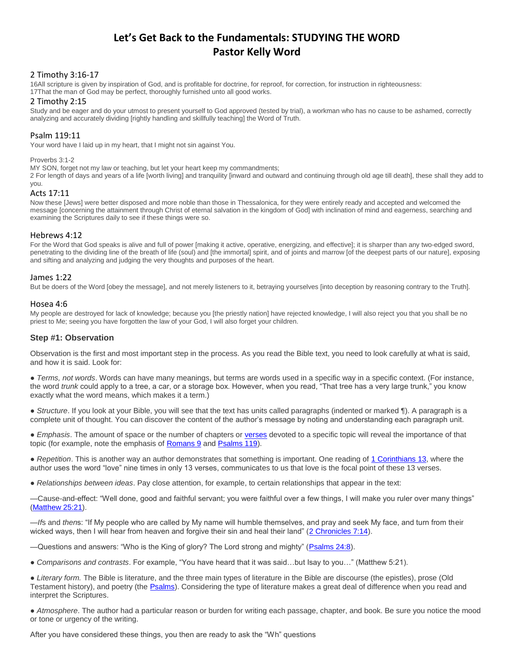# **Let's Get Back to the Fundamentals: STUDYING THE WORD Pastor Kelly Word**

# 2 Timothy 3:16-17

16All scripture is given by inspiration of God, and is profitable for doctrine, for reproof, for correction, for instruction in righteousness: 17That the man of God may be perfect, thoroughly furnished unto all good works.

# 2 Timothy 2:15

Study and be eager and do your utmost to present yourself to God approved (tested by trial), a workman who has no cause to be ashamed, correctly analyzing and accurately dividing [rightly handling and skillfully teaching] the Word of Truth.

# Psalm 119:11

Your word have I laid up in my heart, that I might not sin against You.

Proverbs 3:1-2

MY SON, forget not my law or teaching, but let your heart keep my commandments;

2 For length of days and years of a life [worth living] and tranquility [inward and outward and continuing through old age till death], these shall they add to you.

## Acts 17:11

Now these [Jews] were better disposed and more noble than those in Thessalonica, for they were entirely ready and accepted and welcomed the message [concerning the attainment through Christ of eternal salvation in the kingdom of God] with inclination of mind and eagerness, searching and examining the Scriptures daily to see if these things were so.

## Hebrews 4:12

For the Word that God speaks is alive and full of power [making it active, operative, energizing, and effective]; it is sharper than any two-edged sword, penetrating to the dividing line of the breath of life (soul) and [the immortal] spirit, and of joints and marrow [of the deepest parts of our nature], exposing and sifting and analyzing and judging the very thoughts and purposes of the heart.

#### James 1:22

But be doers of the Word [obey the message], and not merely listeners to it, betraying yourselves [into deception by reasoning contrary to the Truth].

#### Hosea 4:6

My people are destroyed for lack of knowledge; because you [the priestly nation] have rejected knowledge, I will also reject you that you shall be no priest to Me; seeing you have forgotten the law of your God, I will also forget your children.

## **Step #1: Observation**

Observation is the first and most important step in the process. As you read the Bible text, you need to look carefully at what is said, and how it is said. Look for:

● *Terms, not words*. Words can have many meanings, but terms are words used in a specific way in a specific context. (For instance, the word *trunk* could apply to a tree, a car, or a storage box. However, when you read, "That tree has a very large trunk," you know exactly what the word means, which makes it a term.)

● *Structure*. If you look at your Bible, you will see that the text has units called paragraphs (indented or marked ¶). A paragraph is a complete unit of thought. You can discover the content of the author's message by noting and understanding each paragraph unit.

● *Emphasis*. The amount of space or the number of chapters or [verses](http://www.biblestudytools.com/bible-study/bible-verse-of-the-day/) devoted to a specific topic will reveal the importance of that topic (for example, note the emphasis of **Romans 9** and **Psalms 119**).

● *Repetition*. This is another way an author demonstrates that something is important. One reading of [1 Corinthians 13,](http://www.biblestudytools.com/search/?q=1co+13) where the author uses the word "love" nine times in only 13 verses, communicates to us that love is the focal point of these 13 verses.

● *Relationships between ideas*. Pay close attention, for example, to certain relationships that appear in the text:

—Cause-and-effect: "Well done, good and faithful servant; you were faithful over a few things, I will make you ruler over many things" [\(Matthew 25:21\)](http://www.biblestudytools.com/search/?q=mt+25:21).

—*If*s and *then*s: "If My people who are called by My name will humble themselves, and pray and seek My face, and turn from their wicked ways, then I will hear from heaven and forgive their sin and heal their land" [\(2 Chronicles 7:14\)](http://www.biblestudytools.com/search/?q=2ch+7:14).

—Questions and answers: "Who is the King of glory? The Lord strong and mighty" [\(Psalms 24:8\)](http://www.biblestudytools.com/search/?q=ps+24:8).

● *Comparisons and contrasts*. For example, "You have heard that it was said…but Isay to you…" (Matthew 5:21).

● *Literary form.* The Bible is literature, and the three main types of literature in the Bible are discourse (the epistles), prose (Old Testament history), and poetry (the [Psalms\)](http://www.biblestudytools.com/psalms/). Considering the type of literature makes a great deal of difference when you read and interpret the Scriptures.

● *Atmosphere*. The author had a particular reason or burden for writing each passage, chapter, and book. Be sure you notice the mood or tone or urgency of the writing.

After you have considered these things, you then are ready to ask the "Wh" questions